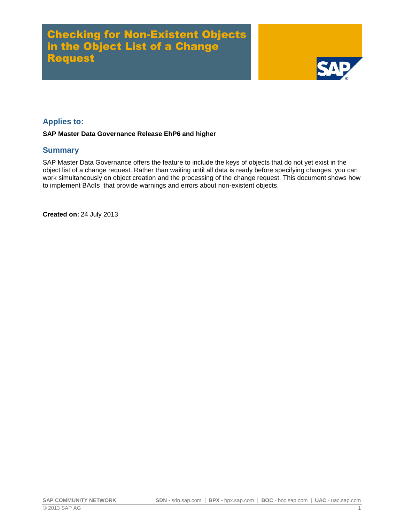# Checking for Non-Existent Objects in the Object List of a Change Request



## **Applies to:**

#### **SAP Master Data Governance Release EhP6 and higher**

### **Summary**

SAP Master Data Governance offers the feature to include the keys of objects that do not yet exist in the object list of a change request. Rather than waiting until all data is ready before specifying changes, you can work simultaneously on object creation and the processing of the change request. This document shows how to implement BAdIs that provide warnings and errors about non-existent objects.

**Created on:** 24 July 2013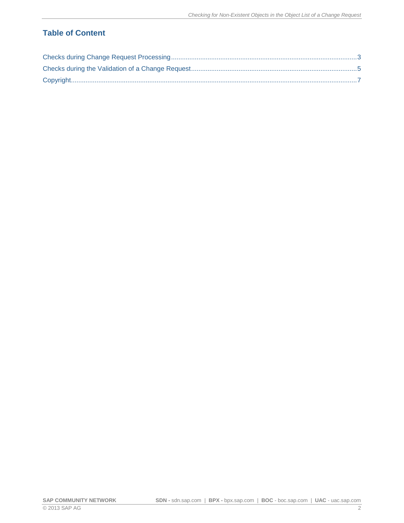## **Table of Content**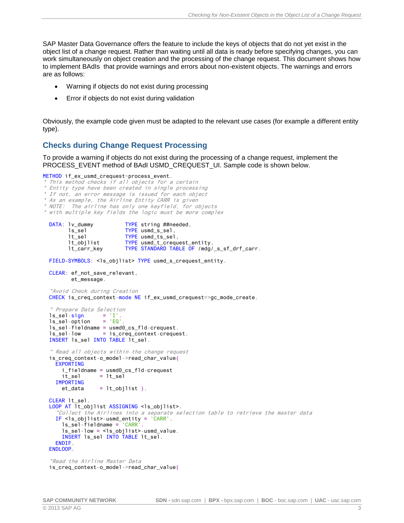SAP Master Data Governance offers the feature to include the keys of objects that do not yet exist in the object list of a change request. Rather than waiting until all data is ready before specifying changes, you can work simultaneously on object creation and the processing of the change request. This document shows how to implement BAdIs that provide warnings and errors about non-existent objects. The warnings and errors are as follows:

- Warning if objects do not exist during processing
- Error if objects do not exist during validation

Obviously, the example code given must be adapted to the relevant use cases (for example a different entity type).

### <span id="page-2-0"></span>**Checks during Change Request Processing**

To provide a warning if objects do not exist during the processing of a change request, implement the PROCESS EVENT method of BAdI USMD\_CREQUEST\_UI. Sample code is shown below.

```
METHOD if_ex_usmd_crequest~process_event.
```
- \*This method checks if all objects for <sup>a</sup> certain
- \* Entity type have been created in single processing
- \* If not, an error message is issued for each object
- \* As an example, the Airline Entity CARR is given
- \* NOTE: The airline has only one keyfield, for objects \* with multiple key fields the logic must be more complex

DATA: lv\_dummy TYPE string ##needed,<br>ls\_sel TYPE usmd s sel. TYPE usmd\_s\_sel, lt\_sel TYPE usmd\_ts\_sel, lt\_objlist TYPE usmd\_t\_crequest\_entity, lt\_carr\_key TYPE STANDARD TABLE OF /mdg/\_s\_sf\_drf\_carr.

FIELD-SYMBOLS: <ls\_objlist> TYPE usmd\_s\_crequest\_entity.

```
 CLEAR: ef_not_save_relevant,
       et message.
```
 "Avoid Check during Creation CHECK is\_creq\_context-mode NE if\_ex\_usmd\_crequest=>gc\_mode\_create.

```
 " Prepare Data Selection
ls\_sel-sign = 'I'.
ls\_sel-option = 'EQ'. ls_sel-fieldname = usmd0_cs_fld-crequest.
  ls_sel-low = is_creq_context-crequest.
  INSERT ls_sel INTO TABLE lt_sel.
   " Read all objects within the change request
  is_creq_context-o_model->read_char_value(
    EXPORTING
      i_fieldname = usmd0_cs_fld-crequest
     it\_sel = lt\_sel IMPORTING
     et\_data = lt\_objlist).
  CLEAR lt_sel.
 LOOP AT lt_objlist ASSIGNING <ls_objlist>.
     "Collect the Airlines into a separate selection table to retrieve the master data
   IF \leq 1s objlist >-usmd entity = 'CARR'.
      ls_sel-fieldname = 'CARR'.
      ls_sel-low = <ls_objlist>-usmd_value.
      INSERT ls_sel INTO TABLE lt_sel.
    ENDIF.
  ENDLOOP.
```

```
 "Read the Airline Master Data
 is_creq_context-o_model->read_char_value(
```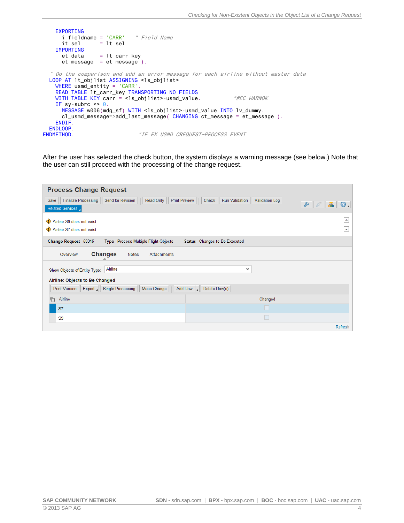```
 EXPORTING
       i_fieldname = 'CARR' " Field Name
      i\bar{t}_ sel = lt sel
     IMPORTING
     et_data = 1t_carr_keyet_message = et_message ).
   " Do the comparison and add an error message for each airline without master data
  LOOP AT lt_objlist ASSIGNING <ls_objlist>
     WHERE usmd_entity = 'CARR'.
    READ TABLE lt_carr_key TRANSPORTING NO FIELDS
    WITH TABLE KEY carr = <ls_objlist>-usmd_value. "#EC WARNOK
    IF sy-subrc \leq 0.
      MESSAGE w006(mdg_sf) WITH <ls_objlist>-usmd_value INTO lv_dummy.
       cl_usmd_message=>add_last_message( CHANGING ct_message = et_message ).
     ENDIF.
ENDLOOP.<br>ENDMETHOD.
                               "IF_EX_USMD_CREQUEST~PROCESS_EVENT
```
After the user has selected the check button, the system displays a warning message (see below.) Note that the user can still proceed with the processing of the change request.

| <b>Process Change Request</b>                                                                        |                                                                                                                       |
|------------------------------------------------------------------------------------------------------|-----------------------------------------------------------------------------------------------------------------------|
| Finalize Processing<br>Send for Revision<br>Read Only<br>Save<br>Related Services                    | <b>Run Validation</b><br><b>Print Preview</b><br>Check<br><b>Validation Log</b><br>d<br>$\boldsymbol{\circ}$ .<br>da. |
| Airline S9 does not exist<br>Airline S7 does not exist                                               | ۰<br>٠                                                                                                                |
| Change Request 58315<br>Type Process Multiple Flight Objects                                         | Status Changes to Be Executed                                                                                         |
| <b>Changes</b><br><b>Notes</b><br><b>Attachments</b><br>Overview                                     |                                                                                                                       |
| Airline<br>Show Objects of Entity Type:                                                              | v                                                                                                                     |
| Airline: Objects to Be Changed<br>Single Processing<br><b>Print Version</b><br>Mass Change<br>Export | Delete Row(s)<br>Add Row $\vert$                                                                                      |
| Airline<br>ħ                                                                                         | Changed                                                                                                               |
| S7                                                                                                   |                                                                                                                       |
| S <sub>9</sub>                                                                                       |                                                                                                                       |
|                                                                                                      | Refresh                                                                                                               |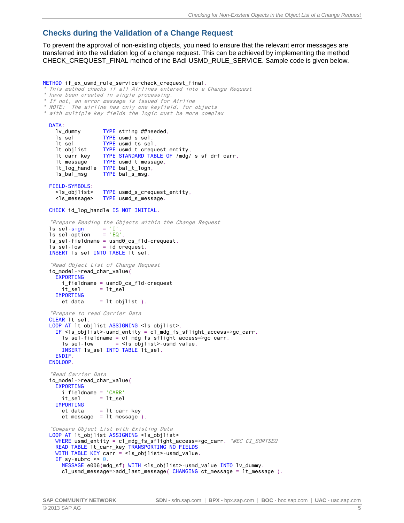### <span id="page-4-0"></span>**Checks during the Validation of a Change Request**

To prevent the approval of non-existing objects, you need to ensure that the relevant error messages are transferred into the validation log of a change request. This can be achieved by implementing the method CHECK\_CREQUEST\_FINAL method of the BAdI USMD\_RULE\_SERVICE. Sample code is given below.

#### METHOD if\_ex\_usmd\_rule\_service~check\_crequest\_final.

\* This method checks if all Airlines entered into <sup>a</sup> Change Request

```
* have been created in single processing.
```
- \* If not, an error message is issued for Airline \* NOTE: The airline has only one keyfield, for objects
- 
- \* with multiple key fields the logic must be more complex

#### DATA:

```
lv_dummy TYPE string ##needed,
   ls_sel TYPE usmd_s_sel,
   lt_sel TYPE usmd_ts_sel,
   lt_objlist TYPE usmd_t_crequest_entity,
   lt_carr_key TYPE STANDARD TABLE OF /mdg/_s_sf_drf_carr,
   lt_message TYPE usmd_t_message,
   lt_log_handle TYPE bal_t_logh,
   ls_bal_msg TYPE bal_s_msg.
 FIELD-SYMBOLS:
   <ls_objlist> TYPE usmd_s_crequest_entity,
   <ls_message> TYPE usmd_s_message.
 CHECK id_log_handle IS NOT INITIAL.
 "Prepare Reading the Objects within the Change Request
ls\_sel-sign = 'I'.<br>
1s sel-option = 'EQ'
ls_sel-option
ls_sel-fieldname = usmd0_cs_fld-crequest.<br>ls_sel-low = id_crequest.
              = id_crequest.
INSERT Is sel INTO TABLE lt sel.
 "Read Object List of Change Request
 io_model->read_char_value(
   EXPORTING
     i_fieldname = usmd0_cs_fld-crequest
    it sel = lt sel
   IMPORTING
    et\_data = lt\_objlist).
 "Prepare to read Carrier Data
 CLEAR lt_sel.
LOOP AT lt_objlist ASSIGNING <ls_objlist>.
   IF <ls_objlist>-usmd_entity = cl_mdg_fs_sflight_access=>gc_carr.
     ls_sel-fieldname = cl_mdg_fs_sflight_access=>gc_carr.
    ls sel-low = <ls objlist>-usmd value.
    INSERT 1s sel INTO TABLE 1t sel.
   ENDIF.
 ENDLOOP.
 "Read Carrier Data
 io_model->read_char_value(
   EXPORTING
     i_fieldname = 'CARR'
    it\_sel = lt\_sel IMPORTING
     et_data = lt_carr_key
    et message = lt message ).
 "Compare Object List with Existing Data
 LOOP AT lt_objlist ASSIGNING <ls_objlist>
  WHERE usmd_entity = cl_mdg_fs_sflight_access=>gc_carr. "#EC CI_SORTSEQ
   READ TABLE lt_carr_key TRANSPORTING NO FIELDS
  WITH TABLE KEY carr = <ls_objlist>-usmd_value.
  IF sy-subrc \leq 0.
     MESSAGE e006(mdg_sf) WITH <ls_objlist>-usmd_value INTO lv_dummy.
     cl_usmd_message=>add_last_message( CHANGING ct_message = lt_message ).
```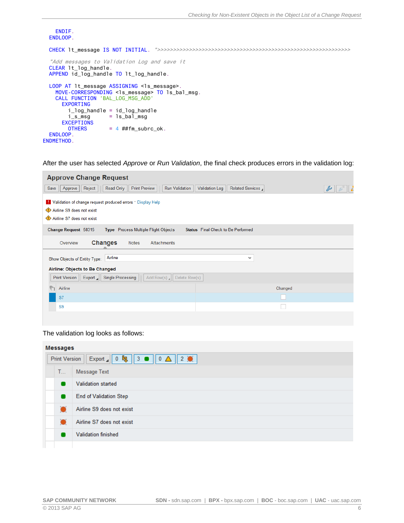```
 ENDIF.
  ENDLOOP.
  CHECK lt_message IS NOT INITIAL. ">>>>>>>>>>>>>>>>>>>>>>>>>>>>>>>>>>>>>>>>>>>>>>>>>>>>>>>>>>>>>
   "Add messages to Validation Log and save it
  CLEAR lt_log_handle.
  APPEND id_log_handle TO lt_log_handle.
 LOOP AT lt_message ASSIGNING <ls_message>.
     MOVE-CORRESPONDING <ls_message> TO ls_bal_msg.
     CALL FUNCTION 'BAL_LOG_MSG_ADD'
       EXPORTING
         i_log_handle = id_log_handle
        i_s_msg = ls_bal_msg EXCEPTIONS
        OTHERS = 4 \# \# \text{fm\_subrc\_ok}. ENDLOOP.
ENDMETHOD.
```
After the user has selected *Approve* or *Run Validation*, the final check produces errors in the validation log:

| <b>Approve Change Request</b>                                                                                         |                                                |
|-----------------------------------------------------------------------------------------------------------------------|------------------------------------------------|
| <b>Print Preview</b><br><b>Run Validation</b><br>Save<br>Reject<br>Read Only<br>Approve                               | <b>Validation Log</b><br>Related Services<br>d |
| Validation of change request produced errors " Display Help<br>Airline S9 does not exist<br>Airline S7 does not exist |                                                |
| Change Request 58315<br>Type Process Multiple Flight Objects                                                          | Status Final Check to Be Performed             |
| <b>Changes</b><br><b>Notes</b><br>Attachments<br>Overview                                                             |                                                |
| Airline<br>Show Objects of Entity Type:                                                                               | v                                              |
| Airline: Objects to Be Changed                                                                                        |                                                |
| Export   Single Processing<br>Delete Row(s)<br>Add Row(s) $\Box$<br><b>Print Version</b>                              |                                                |
| ħ<br>Airline                                                                                                          | Changed                                        |
| S7                                                                                                                    |                                                |
| S <sub>9</sub>                                                                                                        |                                                |
|                                                                                                                       |                                                |

#### The validation log looks as follows:

| <b>Messages</b>                                                                    |           |                               |  |  |
|------------------------------------------------------------------------------------|-----------|-------------------------------|--|--|
| Export 1 0 $\mathbf{b}_1$ 3   3   0 $\Delta$   2 $\bullet$<br><b>Print Version</b> |           |                               |  |  |
| T                                                                                  |           | Message Text                  |  |  |
|                                                                                    |           | <b>Validation started</b>     |  |  |
|                                                                                    |           | <b>End of Validation Step</b> |  |  |
|                                                                                    | $\bullet$ | Airline S9 does not exist     |  |  |
|                                                                                    |           | Airline S7 does not exist     |  |  |
|                                                                                    |           | <b>Validation finished</b>    |  |  |
|                                                                                    |           |                               |  |  |